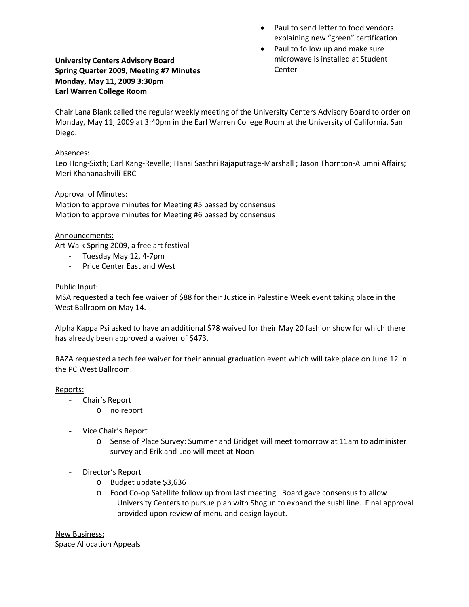# **University Centers Advisory Board Spring Quarter 2009, Meeting #7 Minutes Monday, May 11, 2009 3:30pm Earl Warren College Room**

- Paul to send letter to food vendors explaining new "green" certification
- Paul to follow up and make sure microwave is installed at Student Center

Chair Lana Blank called the regular weekly meeting of the University Centers Advisory Board to order on Monday, May 11, 2009 at 3:40pm in the Earl Warren College Room at the University of California, San Diego.

## Absences:

Leo Hong‐Sixth; Earl Kang‐Revelle; Hansi Sasthri Rajaputrage‐Marshall ; Jason Thornton‐Alumni Affairs; Meri Khananashvili‐ERC

## Approval of Minutes:

Motion to approve minutes for Meeting #5 passed by consensus Motion to approve minutes for Meeting #6 passed by consensus

### Announcements:

Art Walk Spring 2009, a free art festival

- ‐ Tuesday May 12, 4‐7pm
- ‐ Price Center East and West

## Public Input:

MSA requested a tech fee waiver of \$88 for their Justice in Palestine Week event taking place in the West Ballroom on May 14.

Alpha Kappa Psi asked to have an additional \$78 waived for their May 20 fashion show for which there has already been approved a waiver of \$473.

RAZA requested a tech fee waiver for their annual graduation event which will take place on June 12 in the PC West Ballroom.

### Reports:

- Chair's Report
	- o no report
- Vice Chair's Report
	- o Sense of Place Survey: Summer and Bridget will meet tomorrow at 11am to administer survey and Erik and Leo will meet at Noon
- Director's Report
	- o Budget update \$3,636
	- o Food Co‐op Satellite follow up from last meeting. Board gave consensus to allow University Centers to pursue plan with Shogun to expand the sushi line. Final approval provided upon review of menu and design layout.

New Business: Space Allocation Appeals